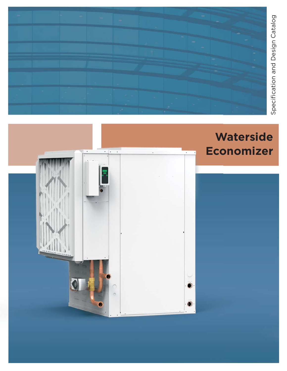

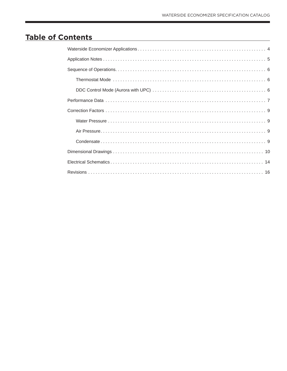# **Table of Contents**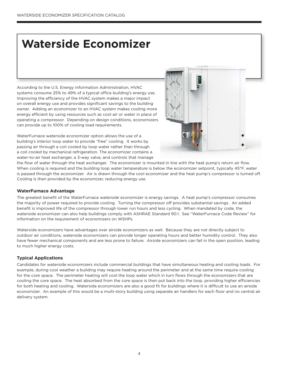# **Waterside Economizer**

According to the U.S. Energy Information Administration, HVAC systems consume 25% to 49% of a typical office building's energy use. Improving the efficiency of the HVAC system makes a major impact on overall energy use and provides significant savings to the building owner. Adding an economizer to an HVAC system makes cooling more energy efficient by using resources such as cool air or water in place of operating a compressor. Depending on design conditions, economizers can provide up to 100% of cooling load requirements.

WaterFurnace waterside economizer option allows the use of a building's interior loop water to provide "free" cooling. It works by passing air through a coil cooled by loop water rather than through a coil cooled by mechanical refrigeration. The economizer contains a water-to-air heat exchanger, a 3-way valve, and controls that manage



the flow of water through the heat exchanger. The economizer is mounted in line with the heat pump's return air flow. When cooling is required and the building loop water temperature is below the economizer setpoint, typically 45°F, water is passed through the economizer. Air is drawn through the cool economizer and the heat pump's compressor is turned off. Cooling is then provided by the economizer, reducing energy use.

#### **WaterFurnace Advantage**

The greatest benefit of the WaterFurnace waterside economizer is energy savings. A heat pump's compressor consumes the majority of power required to provide cooling. Turning the compressor off provides substantial savings. An added benefit is improved life of the compressor through lower run hours and less cycling. When mandated by code, the waterside economizer can also help buildings comply with ASHRAE Standard 90.1. See "WaterFurnace Code Review" for information on the requirement of economizers on WSHPs.

Waterside economizers have advantages over airside economizers as well. Because they are not directly subject to outdoor air conditions, waterside economizers can provide longer operating hours and better humidity control. They also have fewer mechanical components and are less prone to failure. Airside economizers can fail in the open position, leading to much higher energy costs.

#### **Typical Applications**

Candidates for waterside economizers include commercial buildings that have simultaneous heating and cooling loads. For example, during cool weather a building may require heating around the perimeter and at the same time require cooling for the core space. The perimeter heating will cool the loop water which in turn flows through the economizers that are cooling the core space. The heat absorbed from the core space is then put back into the loop, providing higher efficiencies for both heating and cooling. Waterside economizers are also a good fit for buildings where it is difficult to use an airside economizer. An example of this would be a multi-story building using separate air handlers for each floor and no central air delivery system.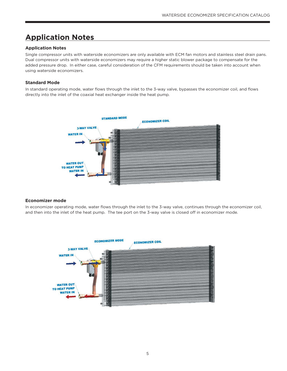# **Application Notes**

#### **Application Notes**

Single compressor units with waterside economizers are only available with ECM fan motors and stainless steel drain pans. Dual compressor units with waterside economizers may require a higher static blower package to compensate for the added pressure drop. In either case, careful consideration of the CFM requirements should be taken into account when using waterside economizers.

#### **Standard Mode**

In standard operating mode, water flows through the inlet to the 3-way valve, bypasses the economizer coil, and flows directly into the inlet of the coaxial heat exchanger inside the heat pump.



#### **Economizer mode**

In economizer operating mode, water flows through the inlet to the 3-way valve, continues through the economizer coil, and then into the inlet of the heat pump. The tee port on the 3-way valve is closed off in economizer mode.

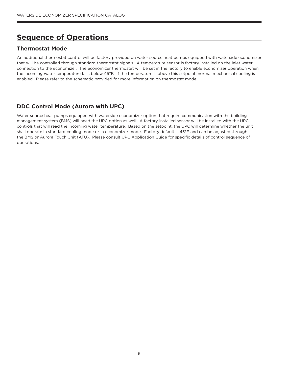# **Sequence of Operations**

### **Thermostat Mode**

An additional thermostat control will be factory provided on water source heat pumps equipped with waterside economizer that will be controlled through standard thermostat signals. A temperature sensor is factory installed on the inlet water connection to the economizer. The economizer thermostat will be set in the factory to enable economizer operation when the incoming water temperature falls below 45°F. If the temperature is above this setpoint, normal mechanical cooling is enabled. Please refer to the schematic provided for more information on thermostat mode.

### **DDC Control Mode (Aurora with UPC)**

Water source heat pumps equipped with waterside economizer option that require communication with the building management system (BMS) will need the UPC option as well. A factory installed sensor will be installed with the UPC controls that will read the incoming water temperature. Based on the setpoint, the UPC will determine whether the unit shall operate in standard cooling mode or in economizer mode. Factory default is 45°F and can be adjusted through the BMS or Aurora Touch Unit (ATU). Please consult UPC Application Guide for specific details of control sequence of operations.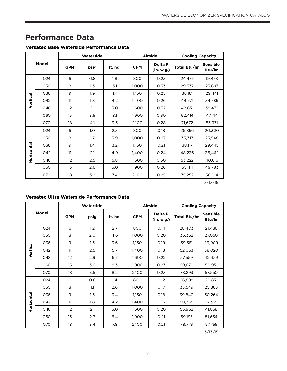# **Performance Data**

### **Versatec Base Waterside Performance Data**

| Model      |     |            | Waterside        |         |            | <b>Airside</b>        | <b>Cooling Capacity</b> |                           |  |
|------------|-----|------------|------------------|---------|------------|-----------------------|-------------------------|---------------------------|--|
|            |     | <b>GPM</b> | psig             | ft. hd. | <b>CFM</b> | Delta P<br>(in. w.g.) | Total Btu/hr            | <b>Sensible</b><br>Btu/hr |  |
|            | 024 | 6          | 0.8              | 1.8     | 800        | 0.23                  | 24,477                  | 19,478                    |  |
|            | 030 | 8          | $1.3\phantom{0}$ | 3.1     | 1,000      | 0.33                  | 29,537                  | 23,697                    |  |
|            | 036 | 9          | 1.9              | 4.4     | 1,150      | 0.25                  | 38,181                  | 29,441                    |  |
| Vertical   | 042 | 11         | 1.8              | 4.2     | 1,400      | 0.26                  | 44,771                  | 34,789                    |  |
|            | 048 | 12         | 2.1              | 5.0     | 1,600      | 0.32                  | 48,651                  | 38,472                    |  |
|            | 060 | 15         | 3.5              | 8.1     | 1,900      | 0.30                  | 62,414                  | 47,714                    |  |
|            | 070 | 18         | 4.1              | 9.5     | 2,100      | 0.28                  | 71,672                  | 53,971                    |  |
|            | 024 | 6          | 1.0              | 2.3     | 800        | 0.18                  | 25,896                  | 20,300                    |  |
|            | 030 | 8          | 1.7              | 3.9     | 1,000      | 0.27                  | 33,317                  | 25,548                    |  |
|            | 036 | 9          | 1.4              | 3.2     | 1,150      | 0.21                  | 38,117                  | 29,445                    |  |
| Horizontal | 042 | 11         | 2.1              | 4.9     | 1,400      | 0.24                  | 48,236                  | 36,462                    |  |
|            | 048 | 12         | 2.5              | 5.8     | 1,600      | 0.30                  | 53,222                  | 40,616                    |  |
|            | 060 | 15         | 2.6              | 6.0     | 1,900      | 0.26                  | 65,411                  | 49,783                    |  |
|            | 070 | 18         | 3.2              | 7.4     | 2,100      | 0.25                  | 75,252                  | 56,014                    |  |

3/13/15

### **Versatec Ultra Waterside Performance Data**

| Model      |     |            | Waterside |         |            | Airside               | <b>Cooling Capacity</b> |                           |  |
|------------|-----|------------|-----------|---------|------------|-----------------------|-------------------------|---------------------------|--|
|            |     | <b>GPM</b> | psig      | ft. hd. | <b>CFM</b> | Delta P<br>(in. w.g.) | Total Btu/hr            | <b>Sensible</b><br>Btu/hr |  |
|            | 024 | 6          | 1.2       | 2.7     | 800        | 0.14                  | 28,403                  | 21,486                    |  |
|            | 030 | 8          | 2.0       | 4.6     | 1,000      | 0.20                  | 36,362                  | 27,050                    |  |
|            | 036 | 9          | 1.5       | 3.6     | 1,150      | 0.19                  | 39,581                  | 29,909                    |  |
| Vertical   | 042 | 11         | 2.5       | 5.7     | 1,400      | 0.18                  | 52,063                  | 38,020                    |  |
|            | 048 | 12         | 2.9       | 6.7     | 1,600      | 0.22                  | 57,559                  | 42,459                    |  |
|            | 060 | 15         | 3.6       | 8.3     | 1,900      | 0.23                  | 69,670                  | 50,951                    |  |
|            | 070 | 18         | 3.5       | 8.2     | 2,100      | 0.23                  | 78,293                  | 57,550                    |  |
|            | 024 | 6          | 0.6       | 1.4     | 800        | 0.12                  | 26,898                  | 20,831                    |  |
|            | 030 | 8          | 1.1       | 2.6     | 1,000      | 0.17                  | 33,549                  | 25,885                    |  |
|            | 036 | 9          | 1.5       | 3.4     | 1,150      | 0.18                  | 39,840                  | 30,264                    |  |
| Horizontal | 042 | 11         | 1.8       | 4.2     | 1,400      | 0.16                  | 50,365                  | 37,359                    |  |
|            | 048 | 12         | 2.1       | 5.0     | 1,600      | 0.20                  | 55,962                  | 41,858                    |  |
|            | 060 | 15         | 2.7       | 6.4     | 1,900      | 0.21                  | 69,193                  | 51,654                    |  |
|            | 070 | 18         | 3.4       | 7.8     | 2,100      | 0.21                  | 78,773                  | 57,755                    |  |

3/13/15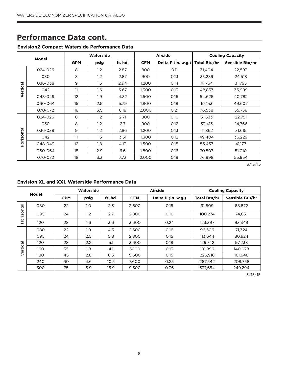### **Performance Data cont.**

### **Envision2 Compact Waterside Performance Data**

| Model      |         |            | Waterside        |         |            | <b>Airside</b>     | <b>Cooling Capacity</b> |                 |  |
|------------|---------|------------|------------------|---------|------------|--------------------|-------------------------|-----------------|--|
|            |         | <b>GPM</b> | psig             | ft. hd. | <b>CFM</b> | Delta P (in. w.g.) | Total Btu/hr            | Sensible Btu/hr |  |
|            | 024-026 | 8          | $1.2\phantom{0}$ | 2.87    | 800        | O.11               | 31,404                  | 22,593          |  |
|            | 030     | 8          | 1.2              | 2.87    | 900        | 0.13               | 33,289                  | 24,518          |  |
|            | 036-038 | 9          | 1.3              | 2.94    | 1,200      | 0.14               | 41,764                  | 31,793          |  |
| Vertical   | 042     | 11         | 1.6              | 3.67    | 1,300      | 0.13               | 48,857                  | 35,999          |  |
|            | 048-049 | 12         | 1.9              | 4.32    | 1,500      | 0.16               | 54,625                  | 40,782          |  |
|            | 060-064 | 15         | 2.5              | 5.79    | 1,800      | 0.18               | 67,153                  | 49,607          |  |
|            | 070-072 | 18         | 3.5              | 8.18    | 2,000      | 0.21               | 76,538                  | 55,758          |  |
|            | 024-026 | 8          | 1.2              | 2.71    | 800        | 0.10               | 31,533                  | 22,751          |  |
|            | 030     | 8          | 1.2              | 2.7     | 900        | 0.12               | 33,413                  | 24,766          |  |
| Horizontal | 036-038 | 9          | 1.2              | 2.86    | 1,200      | 0.13               | 41,862                  | 31,615          |  |
|            | 042     | 11         | 1.5              | 3.51    | 1,300      | 0.12               | 49,404                  | 36,229          |  |
|            | 048-049 | 12         | 1.8              | 4.13    | 1,500      | 0.15               | 55,437                  | 41,177          |  |
|            | 060-064 | 15         | 2.9              | 6.6     | 1,800      | 0.16               | 70,507                  | 51,010          |  |
|            | 070-072 | 18         | 3.3              | 7.73    | 2,000      | 0.19               | 76,998                  | 55,954          |  |

3/13/15

#### **Envision XL and XXL Waterside Performance Data**

| Model          |     | Waterside  |      |         |            | Airside            | <b>Cooling Capacity</b> |                 |  |
|----------------|-----|------------|------|---------|------------|--------------------|-------------------------|-----------------|--|
|                |     | <b>GPM</b> | psig | ft. hd. | <b>CFM</b> | Delta P (in. w.g.) | <b>Total Btu/hr</b>     | Sensible Btu/hr |  |
| ntal           | 080 | 22         | 1.0  | 2.3     | 2,600      | 0.15               | 91,509                  | 68,872          |  |
| Horizo         | 095 | 24         | 1.2  | 2.7     | 2,800      | 0.16               | 100.274                 | 74,831          |  |
|                | 120 | 28         | 1.6  | 3.6     | 3,600      | 0.24               | 123,397                 | 93,349          |  |
|                | 080 | 22         | 1.9  | 4.3     | 2,600      | 0.16               | 96.506                  | 71.324          |  |
|                | 095 | 24         | 2.5  | 5.8     | 2,800      | 0.15               | 113,644                 | 80,924          |  |
| $\overline{c}$ | 120 | 28         | 2.2  | 5.1     | 3.600      | 0.18               | 129,742                 | 97.238          |  |
| Vertio         | 160 | 35         | 1.8  | 4.1     | 5000       | 0.13               | 191,896                 | 140,078         |  |
|                | 180 | 45         | 2.8  | 6.5     | 5,600      | 0.15               | 226,916                 | 161,648         |  |
|                | 240 | 60         | 4.6  | 10.5    | 7.600      | 0.25               | 287.542                 | 208.758         |  |
|                | 300 | 75         | 6.9  | 15.9    | 9,500      | 0.36               | 337,654                 | 249,294         |  |

3/13/15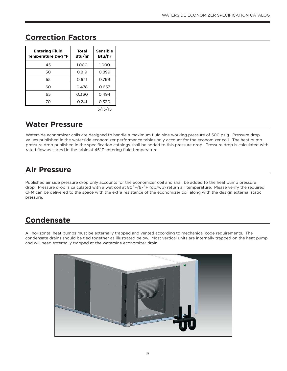| <b>Entering Fluid</b><br>Temperature Deg °F | Total<br>Btu/hr | Sensible<br>Btu/hr |
|---------------------------------------------|-----------------|--------------------|
| 45                                          | 1.000           | 1.000              |
| 50                                          | 0.819           | 0.899              |
| 55                                          | 0.641           | 0.799              |
| 60                                          | 0.478           | 0.657              |
| 65                                          | 0.360           | 0.494              |
| 70                                          | 0.241           | 0.330              |
|                                             |                 | 3/13/15            |

### **Correction Factors**

### **Water Pressure**

Waterside economizer coils are designed to handle a maximum fluid side working pressure of 500 psig. Pressure drop values published in the waterside economizer performance tables only account for the economizer coil. The heat pump pressure drop published in the specification catalogs shall be added to this pressure drop. Pressure drop is calculated with rated flow as stated in the table at 45˚F entering fluid temperature.

# **Air Pressure**

Published air side pressure drop only accounts for the economizer coil and shall be added to the heat pump pressure drop. Pressure drop is calculated with a wet coil at 80˚F/67˚F (db/wb) return air temperature. Please verify the required CFM can be delivered to the space with the extra resistance of the economizer coil along with the design external static pressure.

# **Condensate**

All horizontal heat pumps must be externally trapped and vented according to mechanical code requirements. The condensate drains should be tied together as illustrated below. Most vertical units are internally trapped on the heat pump and will need externally trapped at the waterside economizer drain.

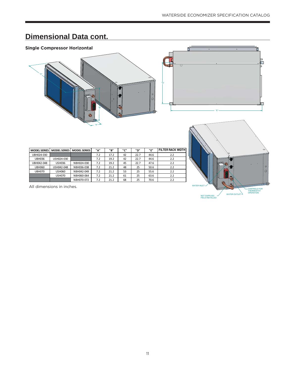### **Single Compressor Horizontal**



**DK>^Z/^ DK>^Z/^ DK>^Z/^ ΗΗ ΗΗ ΗΗ ΗΗ ΗΗ FILTER RACK WIDTH**

UBH036 USH024-030 7.2 19.2 42 22.7 44.6 2.2 h,ϬϰϮͲϬϰϴ h^,Ϭϯϲ E,ϬϮϰͲϬϯϬ ϳ͘Ϯ ϭϵ͘Ϯ ϰϱ ϮϮ͘ϳ ϰϳ͘ϲ Ϯ͘Ϯ

بروا بالكالية المبروا المبروا المبروا المبروا المبروا المبروا المبروا المبروا المبروا المبروا المبروا المبروا ا<br>2.2 المبروا المبروا المبروا المبروا المبروا المبروا المبروا المبروا المبروا المبروا المبروا المبروا المبروا

NBH036-038



| <b>WATER INLET</b>                                       | $\circ$<br>$\circ$<br>C<br><b>CONTROLS FOR</b><br><b>THERMOSTAT</b> |
|----------------------------------------------------------|---------------------------------------------------------------------|
| WATER OUTLET $\Delta$<br>NOT SUPPLIED<br>FIELD INSTALLED | <b>OPERATION</b>                                                    |

 $\overline{\phantom{a}}$ 

| <b>USH070</b> | NBH060-064 | $\overline{1}$           | $\mathbf{a}$<br><u>__._</u> | ы  | $\sim$ | $\sim$<br>63.b | $\sim$ $\sim$<br>ے ۔ |
|---------------|------------|--------------------------|-----------------------------|----|--------|----------------|----------------------|
|               | NBH070-072 | $\overline{\phantom{a}}$ | $\mathbf{a}$<br>41.4        | 68 | $\sim$ | 70<br>U.O      | $\sim$ $\sim$<br>ے ۔ |
|               |            |                          |                             |    |        |                |                      |

All dimensions in inches.

UBH024-030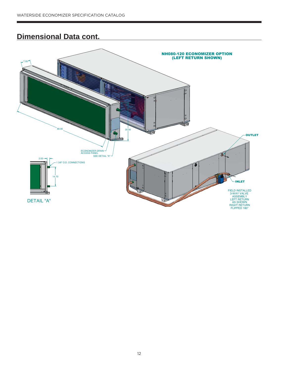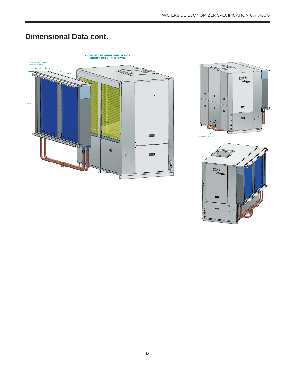



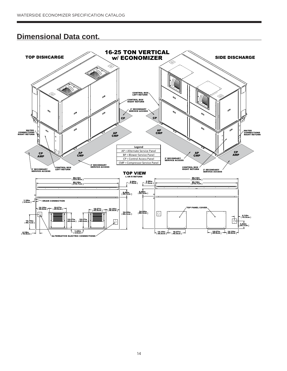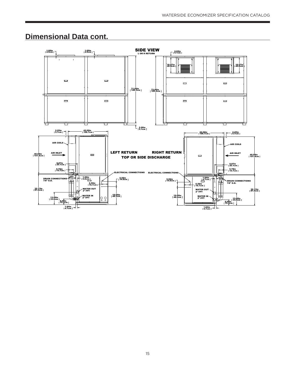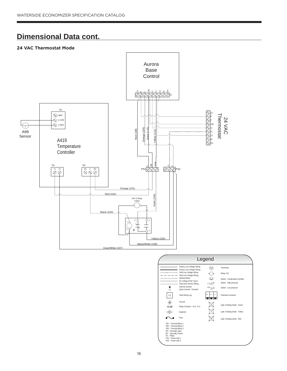#### **24 VAC Thermostat Mode**



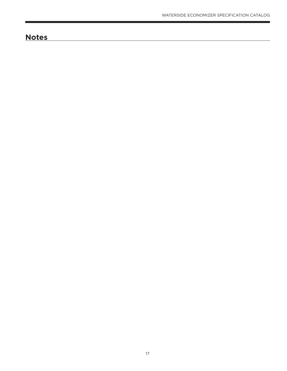# **Notes**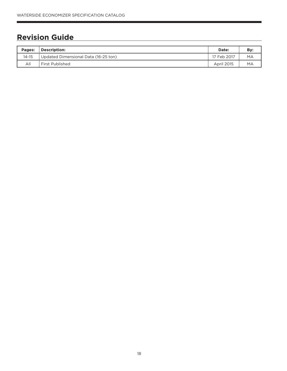# **Revision Guide**

| Pages:    | Description:                         | Date:             | Bv: |
|-----------|--------------------------------------|-------------------|-----|
| $14 - 15$ | Updated Dimensional Data (16-25 ton) | 17 Feb 2017       | MA  |
| All       | First Published                      | <b>April 2015</b> | MA  |